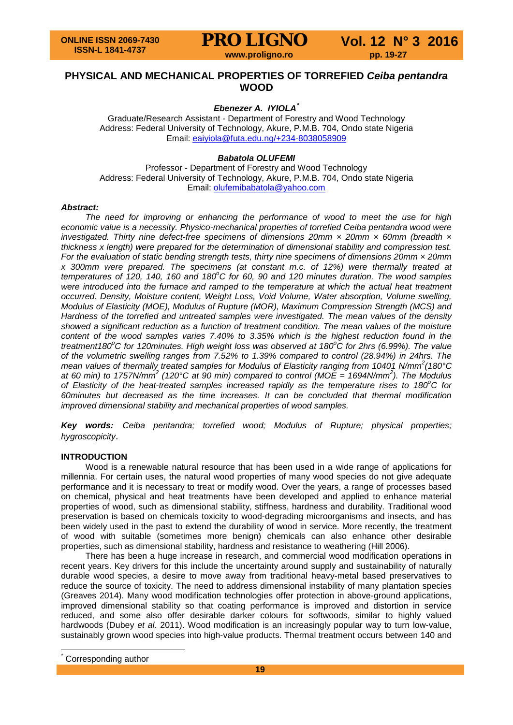### **PHYSICAL AND MECHANICAL PROPERTIES OF TORREFIED** *Ceiba pentandra* **WOOD**

#### *Ebenezer A. IYIOLA[\\*](#page-0-0)*

Graduate/Research Assistant - Department of Forestry and Wood Technology Address: Federal University of Technology, Akure, P.M.B. 704, Ondo state Nigeria Email: [eaiyiola@futa.edu.ng/+234-8038058909](mailto:eaiyiola@futa.edu.ng/+234-8038058909)

### *Babatola OLUFEMI*

Professor - Department of Forestry and Wood Technology Address: Federal University of Technology, Akure, P.M.B. 704, Ondo state Nigeria Email: [olufemibabatola@yahoo.com](mailto:olufemibabatola@yahoo.com)

#### *Abstract:*

*The need for improving or enhancing the performance of wood to meet the use for high economic value is a necessity. Physico-mechanical properties of torrefied Ceiba pentandra wood were investigated. Thirty nine defect-free specimens of dimensions 20mm × 20mm × 60mm (breadth × thickness x length) were prepared for the determination of dimensional stability and compression test. For the evaluation of static bending strength tests, thirty nine specimens of dimensions 20mm × 20mm x 300mm were prepared. The specimens (at constant m.c. of 12%) were thermally treated at temperatures of 120, 140, 160 and 180<sup>o</sup> C for 60, 90 and 120 minutes duration. The wood samples were introduced into the furnace and ramped to the temperature at which the actual heat treatment occurred. Density, Moisture content, Weight Loss, Void Volume, Water absorption, Volume swelling, Modulus of Elasticity (MOE), Modulus of Rupture (MOR), Maximum Compression Strength (MCS) and Hardness of the torrefied and untreated samples were investigated. The mean values of the density showed a significant reduction as a function of treatment condition. The mean values of the moisture content of the wood samples varies 7.40% to 3.35% which is the highest reduction found in the treatment180<sup>o</sup> C for 120minutes. High weight loss was observed at 180<sup>o</sup> C for 2hrs (6.99%). The value of the volumetric swelling ranges from 7.52% to 1.39% compared to control (28.94%) in 24hrs. The mean values of thermally treated samples for Modulus of Elasticity ranging from 10401 N/mm<sup>2</sup> (180°C at 60 min) to 1757N/mm<sup>2</sup> (120°C at 90 min) compared to control (MOE = 1694N/mm<sup>2</sup> ). The Modulus of Elasticity of the heat-treated samples increased rapidly as the temperature rises to 180<sup>o</sup> C for 60minutes but decreased as the time increases. It can be concluded that thermal modification improved dimensional stability and mechanical properties of wood samples.*

*Key words: Ceiba pentandra; torrefied wood; Modulus of Rupture; physical properties; hygroscopicity*.

#### **INTRODUCTION**

Wood is a renewable natural resource that has been used in a wide range of applications for millennia. For certain uses, the natural wood properties of many wood species do not give adequate performance and it is necessary to treat or modify wood. Over the years, a range of processes based on chemical, physical and heat treatments have been developed and applied to enhance material properties of wood, such as dimensional stability, stiffness, hardness and durability. Traditional wood preservation is based on chemicals toxicity to wood-degrading microorganisms and insects, and has been widely used in the past to extend the durability of wood in service. More recently, the treatment of wood with suitable (sometimes more benign) chemicals can also enhance other desirable properties, such as dimensional stability, hardness and resistance to weathering (Hill 2006).

There has been a huge increase in research, and commercial wood modification operations in recent years. Key drivers for this include the uncertainty around supply and sustainability of naturally durable wood species, a desire to move away from traditional heavy-metal based preservatives to reduce the source of toxicity. The need to address dimensional instability of many plantation species (Greaves 2014). Many wood modification technologies offer protection in above-ground applications, improved dimensional stability so that coating performance is improved and distortion in service reduced, and some also offer desirable darker colours for softwoods, similar to highly valued hardwoods (Dubey *et al*. 2011). Wood modification is an increasingly popular way to turn low-value, sustainably grown wood species into high-value products. Thermal treatment occurs between 140 and

<span id="page-0-0"></span>Corresponding author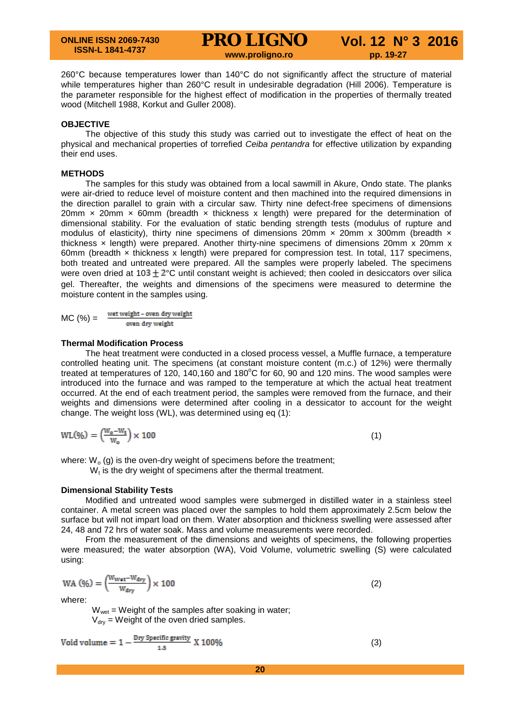**PRO LIGNO Vol. 12 N° 3 2016 www.proligno.ro pp. 19-27**

$$
Vol. 12 N° 3 2010
$$

260°C because temperatures lower than 140°C do not significantly affect the structure of material while temperatures higher than 260°C result in undesirable degradation (Hill 2006). Temperature is the parameter responsible for the highest effect of modification in the properties of thermally treated wood (Mitchell 1988, Korkut and Guller 2008).

#### **OBJECTIVE**

The objective of this study this study was carried out to investigate the effect of heat on the physical and mechanical properties of torrefied *Ceiba pentandra* for effective utilization by expanding their end uses.

#### **METHODS**

The samples for this study was obtained from a local sawmill in Akure, Ondo state. The planks were air-dried to reduce level of moisture content and then machined into the required dimensions in the direction parallel to grain with a circular saw. Thirty nine defect-free specimens of dimensions 20mm  $\times$  20mm  $\times$  60mm (breadth  $\times$  thickness  $\times$  length) were prepared for the determination of dimensional stability. For the evaluation of static bending strength tests (modulus of rupture and modulus of elasticity), thirty nine specimens of dimensions 20mm  $\times$  20mm  $\times$  300mm (breadth  $\times$ thickness × length) were prepared. Another thirty-nine specimens of dimensions 20mm x 20mm x 60mm (breadth × thickness x length) were prepared for compression test. In total, 117 specimens, both treated and untreated were prepared. All the samples were properly labeled. The specimens were oven dried at  $103 \pm 2^{\circ}$ C until constant weight is achieved; then cooled in desiccators over silica gel. Thereafter, the weights and dimensions of the specimens were measured to determine the moisture content in the samples using.

wet weight - oven dry weight  $MC (%) =$ oven dry weight

#### **Thermal Modification Process**

The heat treatment were conducted in a closed process vessel, a Muffle furnace, a temperature controlled heating unit. The specimens (at constant moisture content (m.c.) of 12%) were thermally treated at temperatures of 120, 140,160 and 180 $^{\circ}$ C for 60, 90 and 120 mins. The wood samples were introduced into the furnace and was ramped to the temperature at which the actual heat treatment occurred. At the end of each treatment period, the samples were removed from the furnace, and their weights and dimensions were determined after cooling in a dessicator to account for the weight change. The weight loss (WL), was determined using eq (1):

$$
WL(\% = \left(\frac{W_o - W_t}{W_o}\right) \times 100 \tag{1}
$$

where:  $W_0$  (g) is the oven-dry weight of specimens before the treatment;

 $W_t$  is the dry weight of specimens after the thermal treatment.

#### **Dimensional Stability Tests**

Modified and untreated wood samples were submerged in distilled water in a stainless steel container. A metal screen was placed over the samples to hold them approximately 2.5cm below the surface but will not impart load on them. Water absorption and thickness swelling were assessed after 24, 48 and 72 hrs of water soak. Mass and volume measurements were recorded.

From the measurement of the dimensions and weights of specimens, the following properties were measured; the water absorption (WA), Void Volume, volumetric swelling (S) were calculated using:

$$
WA (96) = \left(\frac{W_{Wat} - W_{dry}}{W_{dry}}\right) \times 100
$$
 (2)

where:

 $W<sub>wet</sub>$  = Weight of the samples after soaking in water;  $V_{\text{div}}$  = Weight of the oven dried samples.

$$
Void volume = 1 - \frac{Dry\,\text{Specific gravity}}{1.5} \, X\,100\%
$$
\n
$$
\tag{3}
$$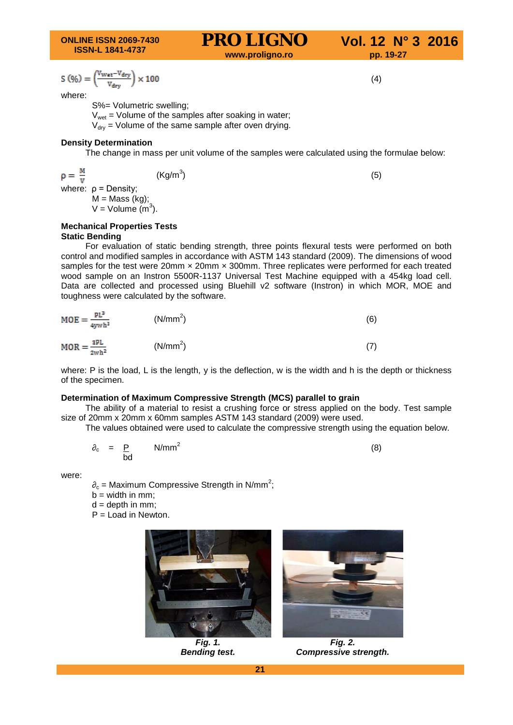**ONLINE ISSN 2069-7430 ISSN-L 1841-4737**

## **PRO LIGNO** Vol. 12 N° 3 2016

$$
S\left( \text{\%}\right) = \left( \frac{v_{\text{wat}} - v_{\text{dry}}}{v_{\text{dry}}} \right) \times 100
$$

where:

S%= Volumetric swelling;

 $V<sub>wet</sub>$  = Volume of the samples after soaking in water;

 $V_{\text{dry}}$  = Volume of the same sample after oven drying.

#### **Density Determination**

The change in mass per unit volume of the samples were calculated using the formulae below:

$$
\mathbf{p} = \frac{\mathbf{M}}{\mathbf{v}}
$$
 (Kg/m<sup>3</sup>) (5)  
where:  $\mathbf{p} = \text{Density}$ ;

 $M =$ Mass (kg);  $V =$  Volume  $(m^3)$ .

#### **Mechanical Properties Tests Static Bending**

For evaluation of static bending strength, three points flexural tests were performed on both control and modified samples in accordance with ASTM 143 standard (2009). The dimensions of wood samples for the test were 20mm x 20mm x 300mm. Three replicates were performed for each treated wood sample on an Instron 5500R-1137 Universal Test Machine equipped with a 454kg load cell. Data are collected and processed using Bluehill v2 software (Instron) in which MOR, MOE and toughness were calculated by the software.

| $MOE = \frac{PL^3}{4ywh^3}$ | (N/mm <sup>2</sup> ) | (6) |
|-----------------------------|----------------------|-----|
| $MOR = \frac{2PL}{2wh^2}$   | (N/mm <sup>2</sup> ) |     |

where: P is the load, L is the length, y is the deflection, w is the width and h is the depth or thickness of the specimen.

#### **Determination of Maximum Compressive Strength (MCS) parallel to grain**

The ability of a material to resist a crushing force or stress applied on the body. Test sample size of 20mm x 20mm x 60mm samples ASTM 143 standard (2009) were used.

The values obtained were used to calculate the compressive strength using the equation below.

$$
\partial_c = \frac{p}{bd} \qquad \text{N/mm}^2 \tag{8}
$$

were:

 $\partial_c$  = Maximum Compressive Strength in N/mm<sup>2</sup>;

 $b = width in mm;$ 

 $d =$  depth in mm;

P = Load in Newton.



*Fig. 1. Bending test.*



*Fig. 2. Compressive strength.*

(4)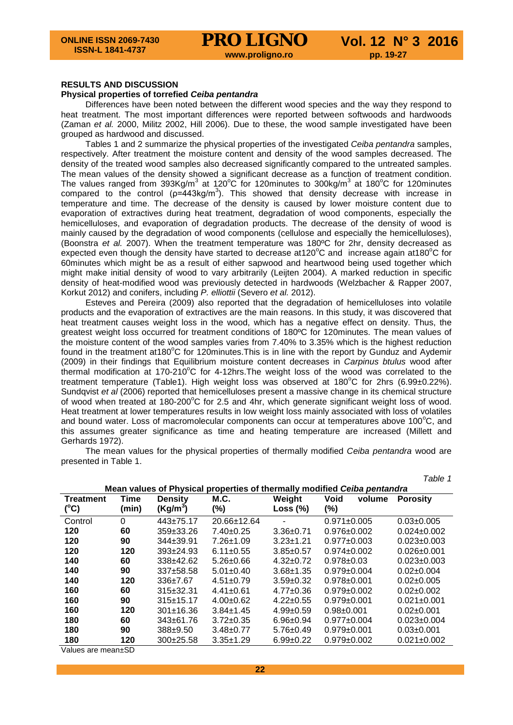#### **RESULTS AND DISCUSSION**

#### **Physical properties of torrefied** *Ceiba pentandra*

Differences have been noted between the different wood species and the way they respond to heat treatment. The most important differences were reported between softwoods and hardwoods (Zaman *et al.* 2000, Militz 2002, Hill 2006). Due to these, the wood sample investigated have been grouped as hardwood and discussed.

Tables 1 and 2 summarize the physical properties of the investigated *Ceiba pentandra* samples, respectively. After treatment the moisture content and density of the wood samples decreased. The density of the treated wood samples also decreased significantly compared to the untreated samples. The mean values of the density showed a significant decrease as a function of treatment condition. The values ranged from 393Kg/m<sup>3</sup> at 120°C for 120minutes to 300kg/m<sup>3</sup> at 180°C for 120minutes compared to the control ( $p=443$ kg/m<sup>3</sup>). This showed that density decrease with increase in temperature and time. The decrease of the density is caused by lower moisture content due to evaporation of extractives during heat treatment, degradation of wood components, especially the hemicelluloses, and evaporation of degradation products. The decrease of the density of wood is mainly caused by the degradation of wood components (cellulose and especially the hemicelluloses), (Boonstra *et al.* 2007). When the treatment temperature was 180ºC for 2hr, density decreased as expected even though the density have started to decrease at120 $^{\circ}$ C and increase again at180 $^{\circ}$ C for 60minutes which might be as a result of either sapwood and heartwood being used together which might make initial density of wood to vary arbitrarily (Leijten 2004). A marked reduction in specific density of heat-modified wood was previously detected in hardwoods (Welzbacher & Rapper 2007, Korkut 2012) and conifers, including *P. elliottii* (Severo *et al.* 2012).

Esteves and Pereira (2009) also reported that the degradation of hemicelluloses into volatile products and the evaporation of extractives are the main reasons. In this study, it was discovered that heat treatment causes weight loss in the wood, which has a negative effect on density. Thus, the greatest weight loss occurred for treatment conditions of 180ºC for 120minutes. The mean values of the moisture content of the wood samples varies from 7.40% to 3.35% which is the highest reduction found in the treatment at180°C for 120minutes. This is in line with the report by Gunduz and Aydemir (2009) in their findings that Equilibrium moisture content decreases in *Carpinus btulus* wood after thermal modification at 170-210 $^{\circ}$ C for 4-12hrs. The weight loss of the wood was correlated to the treatment temperature (Table1). High weight loss was observed at 180°C for 2hrs (6.99±0.22%). Sundqvist *et al* (2006) reported that hemicelluloses present a massive change in its chemical structure of wood when treated at 180-200°C for 2.5 and 4hr, which generate significant weight loss of wood. Heat treatment at lower temperatures results in low weight loss mainly associated with loss of volatiles and bound water. Loss of macromolecular components can occur at temperatures above 100 $^{\circ}$ C, and this assumes greater significance as time and heating temperature are increased (Millett and Gerhards 1972).

The mean values for the physical properties of thermally modified *Ceiba pentandra* wood are presented in Table 1.

|                  |       |                 |                 |                 |                                                                          | Table 1           |
|------------------|-------|-----------------|-----------------|-----------------|--------------------------------------------------------------------------|-------------------|
|                  |       |                 |                 |                 | Mean values of Physical properties of thermally modified Ceiba pentandra |                   |
| <b>Treatment</b> | Time  | <b>Density</b>  | M.C.            | Weight          | <b>Void</b><br>volume                                                    | <b>Porosity</b>   |
| (°C)             | (min) | $(Kg/m^3)$      | $(\% )$         | Loss $(\%)$     | (%)                                                                      |                   |
| Control          | 0     | $443 \pm 75.17$ | 20.66±12.64     |                 | $0.971 \pm 0.005$                                                        | $0.03 \pm 0.005$  |
| 120              | 60    | $359\pm33.26$   | $7.40+0.25$     | $3.36 \pm 0.71$ | $0.976 \pm 0.002$                                                        | $0.024 \pm 0.002$ |
| 120              | 90    | $344 \pm 39.91$ | $7.26 \pm 1.09$ | $3.23 \pm 1.21$ | $0.977 \pm 0.003$                                                        | $0.023 \pm 0.003$ |
| 120              | 120   | $393 \pm 24.93$ | $6.11 \pm 0.55$ | $3.85 \pm 0.57$ | $0.974 \pm 0.002$                                                        | $0.026 \pm 0.001$ |
| 140              | 60    | $338+42.62$     | $5.26 \pm 0.66$ | $4.32 \pm 0.72$ | $0.978 + 0.03$                                                           | $0.023 \pm 0.003$ |
| 140              | 90    | $337 + 58.58$   | $5.01 \pm 0.40$ | $3.68 + 1.35$   | $0.979 \pm 0.004$                                                        | $0.02 \pm 0.004$  |
| 140              | 120   | $336+7.67$      | $4.51 \pm 0.79$ | $3.59+0.32$     | $0.978 \pm 0.001$                                                        | $0.02 \pm 0.005$  |
| 160              | 60    | $315 \pm 32.31$ | $4.41 \pm 0.61$ | $4.77 \pm 0.36$ | $0.979 \pm 0.002$                                                        | $0.02 \pm 0.002$  |
| 160              | 90    | $315 \pm 15.17$ | $4.00+0.62$     | $4.22 \pm 0.55$ | $0.979 \pm 0.001$                                                        | $0.021 \pm 0.001$ |
| 160              | 120   | $301 \pm 16.36$ | $3.84 \pm 1.45$ | $4.99 \pm 0.59$ | $0.98 + 0.001$                                                           | $0.02 \pm 0.001$  |
| 180              | 60    | $343 \pm 61.76$ | $3.72 \pm 0.35$ | $6.96 \pm 0.94$ | $0.977 \pm 0.004$                                                        | $0.023 \pm 0.004$ |
| 180              | 90    | $388 + 9.50$    | $3.48 \pm 0.77$ | $5.76 \pm 0.49$ | $0.979 \pm 0.001$                                                        | $0.03 \pm 0.001$  |
| 180              | 120   | $300+25.58$     | $3.35 \pm 1.29$ | $6.99+0.22$     | $0.979 \pm 0.002$                                                        | $0.021 \pm 0.002$ |

Values are mean±SD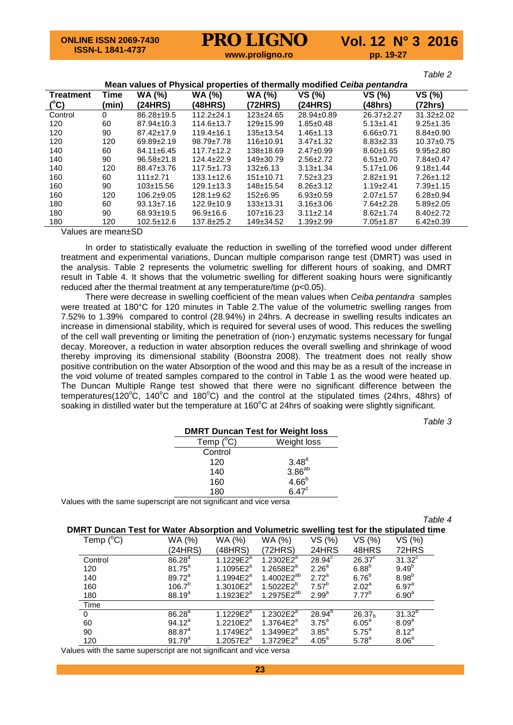*Table 2*

| Mean values of Physical properties of thermally modified Ceiba pentandra |          |                  |                  |                 |                  |                  |                  |  |
|--------------------------------------------------------------------------|----------|------------------|------------------|-----------------|------------------|------------------|------------------|--|
| <b>Treatment</b>                                                         | Time     | <b>WA (%)</b>    | <b>WA (%)</b>    | <b>WA (%)</b>   | VS (%)           | VS (%)           | VS (%)           |  |
| (°C)                                                                     | (min     | (24HRS)          | (48HRS)          | (72HRS)         | (24HRS)          | (48hrs)          | (72hrs)          |  |
| Control                                                                  | $\Omega$ | $86.28 \pm 19.5$ | $112.2 + 24.1$   | $123 \pm 24.65$ | $28.94 \pm 0.89$ | $26.37 \pm 2.27$ | $31.32 \pm 2.02$ |  |
| 120                                                                      | 60       | $87.94 \pm 10.3$ | $114.6 \pm 13.7$ | $129+15.99$     | $1.85 \pm 0.48$  | $5.13 \pm 1.41$  | $9.25 \pm 1.35$  |  |
| 120                                                                      | 90       | $87.42 \pm 17.9$ | $119.4 \pm 16.1$ | $135+13.54$     | $1.46 \pm 1.13$  | $6.66 \pm 0.71$  | $8.84 \pm 0.90$  |  |
| 120                                                                      | 120      | $69.89 \pm 2.19$ | $98.79 \pm 7.78$ | 116±10.91       | $3.47 \pm 1.32$  | $8.83 \pm 2.33$  | $10.37 \pm 0.75$ |  |
| 140                                                                      | 60       | $84.11 \pm 6.45$ | $117.7 \pm 12.2$ | $138+18.69$     | $2.47 \pm 0.99$  | $8.60 \pm 1.65$  | $9.95 \pm 2.80$  |  |
| 140                                                                      | 90       | $96.58 \pm 21.8$ | $124.4 \pm 22.9$ | 149±30.79       | $2.56 \pm 2.72$  | $6.51 \pm 0.70$  | $7.84 \pm 0.47$  |  |
| 140                                                                      | 120      | 88.47±3.76       | $117.5 \pm 1.73$ | $132 \pm 6.13$  | $3.13 \pm 1.34$  | $5.17 \pm 1.06$  | $9.18 \pm 1.44$  |  |
| 160                                                                      | 60       | 111±2.71         | $133.1 \pm 12.6$ | $151 \pm 10.71$ | $7.52 \pm 3.23$  | $2.82 + 1.91$    | $7.26 \pm 1.12$  |  |
| 160                                                                      | 90       | $103 \pm 15.56$  | $129.1 \pm 13.3$ | 148±15.54       | $8.26 \pm 3.12$  | $1.19 + 2.41$    | $7.39 \pm 1.15$  |  |
| 160                                                                      | 120      | $106.2 \pm 9.05$ | $128.1 \pm 9.62$ | $152 \pm 6.95$  | $6.93 \pm 0.59$  | $2.07 + 1.57$    | $6.28 \pm 0.94$  |  |
| 180                                                                      | 60       | $93.13 \pm 7.16$ | $122.9 \pm 10.9$ | $133+13.31$     | $3.16 \pm 3.06$  | $7.64 \pm 2.28$  | $5.89 \pm 2.05$  |  |
| 180                                                                      | 90       | 68.93±19.5       | $96.9 \pm 16.6$  | $107+16.23$     | $3.11 \pm 2.14$  | $8.62 \pm 1.74$  | $8.40 \pm 2.72$  |  |
| 180                                                                      | 120      | $102.5 \pm 12.6$ | $137.8 \pm 25.2$ | 149±34.52       | $1.39 \pm 2.99$  | $7.05 \pm 1.87$  | $6.42 \pm 0.39$  |  |
| $\cdots$                                                                 |          | <u>__</u>        |                  |                 |                  |                  |                  |  |

Values are mean±SD

In order to statistically evaluate the reduction in swelling of the torrefied wood under different treatment and experimental variations, Duncan multiple comparison range test (DMRT) was used in the analysis. Table 2 represents the volumetric swelling for different hours of soaking, and DMRT result in Table 4. It shows that the volumetric swelling for different soaking hours were significantly reduced after the thermal treatment at any temperature/time (p<0.05).

There were decrease in swelling coefficient of the mean values when *Ceiba pentandra* samples were treated at 180°C for 120 minutes in Table 2.The value of the volumetric swelling ranges from 7.52% to 1.39% compared to control (28.94%) in 24hrs. A decrease in swelling results indicates an increase in dimensional stability, which is required for several uses of wood. This reduces the swelling of the cell wall preventing or limiting the penetration of (non-) enzymatic systems necessary for fungal decay. Moreover, a reduction in water absorption reduces the overall swelling and shrinkage of wood thereby improving its dimensional stability (Boonstra 2008). The treatment does not really show positive contribution on the water Absorption of the wood and this may be as a result of the increase in the void volume of treated samples compared to the control in Table 1 as the wood were heated up. The Duncan Multiple Range test showed that there were no significant difference between the temperatures(120 $\rm ^{o}C$ , 140 $\rm ^{o}C$  and 180 $\rm ^{o}C$ ) and the control at the stipulated times (24hrs, 48hrs) of soaking in distilled water but the temperature at 160 $^{\circ}$ C at 24hrs of soaking were slightly significant.

*Table 3*

| <b>DMRT Duncan Test for Weight loss</b> |                         |  |  |  |  |
|-----------------------------------------|-------------------------|--|--|--|--|
| Temp $(^{\circ}C)$<br>Weight loss       |                         |  |  |  |  |
| Control                                 |                         |  |  |  |  |
| 120                                     | $3.48^a$<br>$3.86^{ab}$ |  |  |  |  |
| 140                                     |                         |  |  |  |  |
| 160                                     | 4.66 <sup>b</sup>       |  |  |  |  |
| 180                                     | $6.47^{\circ}$          |  |  |  |  |

Values with the same superscript are not significant and vice versa

*Table 4*

| DMRT Duncan Test for Water Absorption and Volumetric swelling test for the stipulated time |                                 |                            |                        |                   |                    |                      |
|--------------------------------------------------------------------------------------------|---------------------------------|----------------------------|------------------------|-------------------|--------------------|----------------------|
| Temp $(^{\circ}C)$                                                                         | WA (%)                          | WA (%)                     | WA (%)                 | VS (%)            | VS (%)             | VS (%)               |
|                                                                                            | (24HRS)                         | (48HRS)                    | (72HRS)                | 24HRS             | 48HRS              | 72HRS                |
| Control                                                                                    | $86.\overline{28}$ <sup>a</sup> | 1.1229 $E2^{\overline{a}}$ | 1.2302E2 $a$           | $28.94^{\circ}$   | $26.37^c$          | $31.32$ <sup>c</sup> |
| 120                                                                                        | $81.75^a$                       | 1.1095 $E2^a$              | $1.2658E2^a$           | 2.26 <sup>a</sup> | 6.88 <sup>b</sup>  | $9.49^{b}$           |
| 140                                                                                        | $89.72^a$                       | 1.1994 $E2^a$              | 1.4002E2 <sup>ab</sup> | $2.72^a$          | 6.76 <sup>b</sup>  | 8.98 <sup>b</sup>    |
| 160                                                                                        | $106.7^{\circ}$                 | 1.3010 $E2^a$              | $1.5022E2^{b}$         | 7.57 <sup>b</sup> | 2.02 <sup>a</sup>  | 6.97 <sup>a</sup>    |
| 180                                                                                        | $88.19^{a}$                     | $1.1923E2^a$               | $1.2975E2^{ab}$        | 2.99 <sup>a</sup> | $7.77^{\circ}$     | 6.90 <sup>a</sup>    |
| Time                                                                                       |                                 |                            |                        |                   |                    |                      |
| $\Omega$                                                                                   | $86.28^{a}$                     | 1.1229 $E2^{\overline{a}}$ | 1.2302E2 $a$           | $28.94^{b}$       | 26.37 <sub>b</sub> | $31.32^{b}$          |
| 60                                                                                         | $94.12^a$                       | 1.2210 $E2^a$              | $1.3764E2^a$           | $3.75^{\circ}$    | $6.05^{\circ}$     | 8.09 <sup>a</sup>    |
| 90                                                                                         | $88.87^{a}$                     | 1.1749 $E2^a$              | 1.3499 $E2^a$          | $3.85^a$          | $5.75^{\circ}$     | $8.12^{a}$           |
| 120                                                                                        | $91.79^{a}$                     | 1.2057 $E2^a$              | $1.3729E2^a$           | $4.05^{\circ}$    | $5.78^{a}$         | 8.06 <sup>a</sup>    |

Values with the same superscript are not significant and vice versa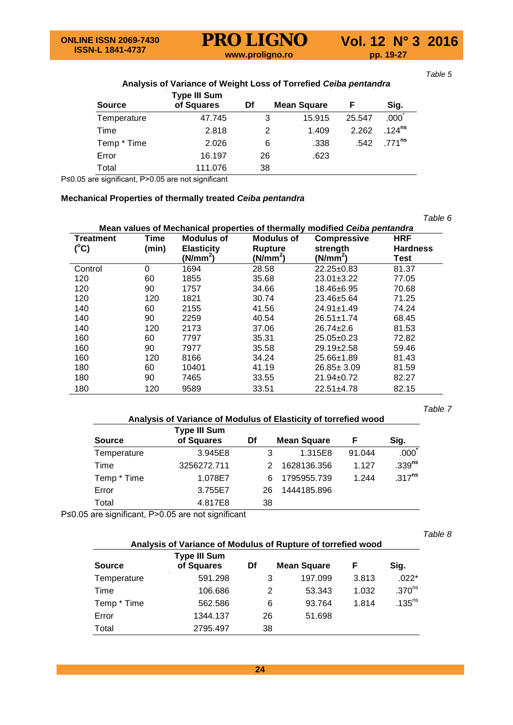| <b>Source</b> | <b>Type III Sum</b><br>of Squares | Df | <b>Mean Square</b> | F      | Sig.                 |
|---------------|-----------------------------------|----|--------------------|--------|----------------------|
| Temperature   | 47.745                            | 3  | 15.915             | 25.547 | .000 <sup>1</sup>    |
| Time          | 2.818                             | 2  | 1.409              | 2.262  | $.124$ <sup>ns</sup> |
| Temp * Time   | 2.026                             | 6  | .338               | .542   | .771 <sup>ns</sup>   |
| Error         | 16.197                            | 26 | .623               |        |                      |
| Total         | 111.076                           | 38 |                    |        |                      |

P≤0.05 are significant, P>0.05 are not significant

#### **Mechanical Properties of thermally treated** *Ceiba pentandra*

|                  |       |                      |                      |                                                                            | Table 6         |
|------------------|-------|----------------------|----------------------|----------------------------------------------------------------------------|-----------------|
|                  |       |                      |                      | Mean values of Mechanical properties of thermally modified Ceiba pentandra |                 |
| <b>Treatment</b> | Time  | Modulus of           | Modulus of           | <b>Compressive</b>                                                         | <b>HRF</b>      |
| $(^{\circ}C)$    | (min) | <b>Elasticity</b>    | Rupture              | strenath                                                                   | <b>Hardness</b> |
|                  |       | (N/mm <sup>2</sup> ) | (N/mm <sup>2</sup> ) | (N/mm <sup>2</sup> )                                                       | Test            |
| Control          | 0     | 1694                 | 28.58                | $22.25 \pm 0.83$                                                           | 81.37           |
| 120              | 60    | 1855                 | 35.68                | $23.01 \pm 3.22$                                                           | 77.05           |
| 120              | 90    | 1757                 | 34.66                | 18.46±6.95                                                                 | 70.68           |
| 120              | 120   | 1821                 | 30.74                | 23.46±5.64                                                                 | 71.25           |
| 140              | 60    | 2155                 | 41.56                | $24.91 \pm 1.49$                                                           | 74.24           |
| 140              | 90    | 2259                 | 40.54                | 26.51±1.74                                                                 | 68.45           |
| 140              | 120   | 2173                 | 37.06                | 26.74±2.6                                                                  | 81.53           |
| 160              | 60    | 7797                 | 35.31                | $25.05 \pm 0.23$                                                           | 72.82           |
| 160              | 90    | 7977                 | 35.58                | $29.19 \pm 2.58$                                                           | 59.46           |
| 160              | 120   | 8166                 | 34.24                | $25.66 \pm 1.89$                                                           | 81.43           |
| 180              | 60    | 10401                | 41.19                | 26.85± 3.09                                                                | 81.59           |
| 180              | 90    | 7465                 | 33.55                | $21.94 \pm 0.72$                                                           | 82.27           |
| 180              | 120   | 9589                 | 33.51                | $22.51 \pm 4.78$                                                           | 82.15           |

*Table 7*

#### **Analysis of Variance of Modulus of Elasticity of torrefied wood**

|               | Type III Sum |    |                    |        |                    |
|---------------|--------------|----|--------------------|--------|--------------------|
| <b>Source</b> | of Squares   | Df | <b>Mean Square</b> | F      | Siq.               |
| Temperature   | 3.945E8      |    | 1.315E8            | 91.044 | .000               |
| Time          | 3256272.711  |    | 1628136.356        | 1.127  | .339 <sup>ns</sup> |
| Temp * Time   | 1.078E7      | 6  | 1795955.739        | 1.244  | $.317^{ns}$        |
| Error         | 3.755E7      | 26 | 1444185.896        |        |                    |
| Total         | 4.817E8      | 38 |                    |        |                    |
|               |              |    |                    |        |                    |

P≤0.05 are significant, P>0.05 are not significant

*Table 8*

#### **Analysis of Variance of Modulus of Rupture of torrefied wood Type III Sum**

| <b>Source</b> | . , , ,<br>of Squares | Df |    | <b>Mean Square</b> | F     | Sig.                 |  |
|---------------|-----------------------|----|----|--------------------|-------|----------------------|--|
| Temperature   | 591.298               |    | 3  | 197.099            | 3.813 | $.022*$              |  |
| Time          | 106.686               |    | 2  | 53.343             | 1.032 | .370 <sup>ns</sup>   |  |
| Temp * Time   | 562.586               |    | 6  | 93.764             | 1.814 | $.135$ <sup>ns</sup> |  |
| Error         | 1344.137              |    | 26 | 51.698             |       |                      |  |
| Total         | 2795.497              |    | 38 |                    |       |                      |  |

*Table 5*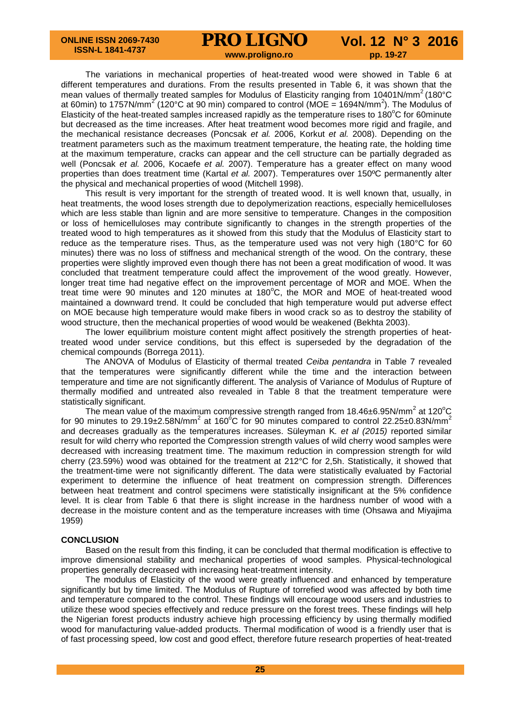The variations in mechanical properties of heat-treated wood were showed in Table 6 at different temperatures and durations. From the results presented in Table 6, it was shown that the mean values of thermally treated samples for Modulus of Elasticity ranging from 10401N/mm<sup>2</sup> (180°C at 60min) to 1757N/mm<sup>2</sup> (120°C at 90 min) compared to control (MOE = 1694N/mm<sup>2</sup>). The Modulus of Elasticity of the heat-treated samples increased rapidly as the temperature rises to 180 $^{\circ}$ C for 60minute but decreased as the time increases. After heat treatment wood becomes more rigid and fragile, and the mechanical resistance decreases (Poncsak *et al.* 2006, Korkut *et al.* 2008). Depending on the treatment parameters such as the maximum treatment temperature, the heating rate, the holding time at the maximum temperature, cracks can appear and the cell structure can be partially degraded as well (Poncsak *et al.* 2006, Kocaefe *et al.* 2007). Temperature has a greater effect on many wood properties than does treatment time (Kartal *et al.* 2007). Temperatures over 150ºC permanently alter the physical and mechanical properties of wood (Mitchell 1998).

This result is very important for the strength of treated wood. It is well known that, usually, in heat treatments, the wood loses strength due to depolymerization reactions, especially hemicelluloses which are less stable than lignin and are more sensitive to temperature. Changes in the composition or loss of hemicelluloses may contribute significantly to changes in the strength properties of the treated wood to high temperatures as it showed from this study that the Modulus of Elasticity start to reduce as the temperature rises. Thus, as the temperature used was not very high (180°C for 60 minutes) there was no loss of stiffness and mechanical strength of the wood. On the contrary, these properties were slightly improved even though there has not been a great modification of wood. It was concluded that treatment temperature could affect the improvement of the wood greatly. However, longer treat time had negative effect on the improvement percentage of MOR and MOE. When the treat time were 90 minutes and 120 minutes at 180 $^{\circ}$ C, the MOR and MOE of heat-treated wood maintained a downward trend. It could be concluded that high temperature would put adverse effect on MOE because high temperature would make fibers in wood crack so as to destroy the stability of wood structure, then the mechanical properties of wood would be weakened (Bekhta 2003).

The lower equilibrium moisture content might affect positively the strength properties of heattreated wood under service conditions, but this effect is superseded by the degradation of the chemical compounds (Borrega 2011).

The ANOVA of Modulus of Elasticity of thermal treated *Ceiba pentandra* in Table 7 revealed that the temperatures were significantly different while the time and the interaction between temperature and time are not significantly different. The analysis of Variance of Modulus of Rupture of thermally modified and untreated also revealed in Table 8 that the treatment temperature were statistically significant.

The mean value of the maximum compressive strength ranged from 18.46±6.95N/mm<sup>2</sup> at 120<sup>o</sup>C for 90 minutes to 29.19±2.58N/mm<sup>2</sup> at 160°C for 90 minutes compared to control 22.25±0.83N/mm<sup>2</sup> and decreases gradually as the temperatures increases. Süleyman K*. et al (2015)* reported similar result for wild cherry who reported the Compression strength values of wild cherry wood samples were decreased with increasing treatment time. The maximum reduction in compression strength for wild cherry (23.59%) wood was obtained for the treatment at 212°C for 2,5h. Statistically, it showed that the treatment-time were not significantly different. The data were statistically evaluated by Factorial experiment to determine the influence of heat treatment on compression strength. Differences between heat treatment and control specimens were statistically insignificant at the 5% confidence level. It is clear from Table 6 that there is slight increase in the hardness number of wood with a decrease in the moisture content and as the temperature increases with time (Ohsawa and Miyajima 1959)

#### **CONCLUSION**

Based on the result from this finding, it can be concluded that thermal modification is effective to improve dimensional stability and mechanical properties of wood samples. Physical-technological properties generally decreased with increasing heat-treatment intensity.

The modulus of Elasticity of the wood were greatly influenced and enhanced by temperature significantly but by time limited. The Modulus of Rupture of torrefied wood was affected by both time and temperature compared to the control. These findings will encourage wood users and industries to utilize these wood species effectively and reduce pressure on the forest trees. These findings will help the Nigerian forest products industry achieve high processing efficiency by using thermally modified wood for manufacturing value-added products. Thermal modification of wood is a friendly user that is of fast processing speed, low cost and good effect, therefore future research properties of heat-treated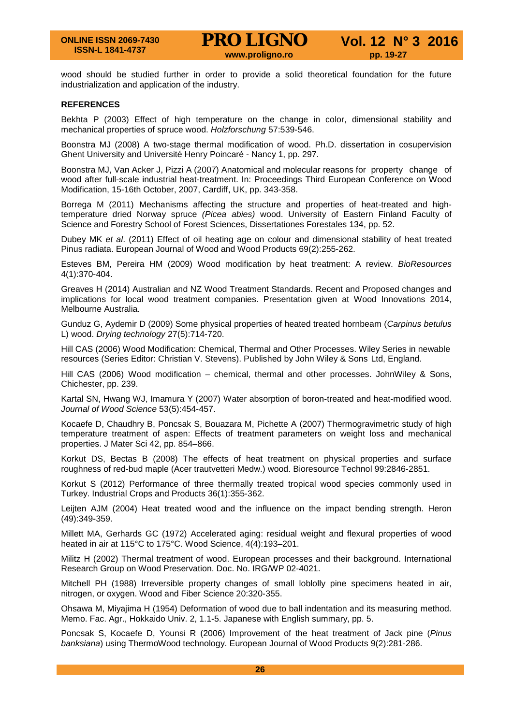wood should be studied further in order to provide a solid theoretical foundation for the future industrialization and application of the industry.

#### **REFERENCES**

Bekhta P (2003) Effect of high temperature on the change in color, dimensional stability and mechanical properties of spruce wood. *Holzforschung* 57:539-546.

Boonstra MJ (2008) A two-stage thermal modification of wood. Ph.D. dissertation in cosupervision Ghent University and Université Henry Poincaré - Nancy 1, pp. 297.

Boonstra MJ, Van Acker J, Pizzi A (2007) Anatomical and molecular reasons for property change of wood after full-scale industrial heat-treatment. In: Proceedings Third European Conference on Wood Modification, 15-16th October, 2007, Cardiff, UK, pp. 343-358.

Borrega M (2011) Mechanisms affecting the structure and properties of heat-treated and hightemperature dried Norway spruce *(Picea abies)* wood. University of Eastern Finland Faculty of Science and Forestry School of Forest Sciences, Dissertationes Forestales 134, pp. 52.

Dubey MK *et al*. (2011) Effect of oil heating age on colour and dimensional stability of heat treated Pinus radiata. European Journal of Wood and Wood Products 69(2):255-262.

Esteves BM, Pereira HM (2009) Wood modification by heat treatment: A review. *BioResources*  4(1):370-404.

Greaves H (2014) Australian and NZ Wood Treatment Standards. Recent and Proposed changes and implications for local wood treatment companies. Presentation given at Wood Innovations 2014, Melbourne Australia.

Gunduz G, Aydemir D (2009) Some physical properties of heated treated hornbeam (*Carpinus betulus*  L) wood. *Drying technology* 27(5):714-720.

Hill CAS (2006) Wood Modification: Chemical, Thermal and Other Processes. Wiley Series in newable resources (Series Editor: Christian V. Stevens). Published by John Wiley & Sons Ltd, England.

Hill CAS (2006) Wood modification – chemical, thermal and other processes. JohnWiley & Sons, Chichester, pp. 239.

Kartal SN, Hwang WJ, Imamura Y (2007) Water absorption of boron-treated and heat-modified wood. *Journal of Wood Science* 53(5):454-457.

Kocaefe D, Chaudhry B, Poncsak S, Bouazara M, Pichette A (2007) Thermogravimetric study of high temperature treatment of aspen: Effects of treatment parameters on weight loss and mechanical properties. J Mater Sci 42, pp. 854–866.

Korkut DS, Bectas B (2008) The effects of heat treatment on physical properties and surface roughness of red-bud maple (Acer trautvetteri Medw.) wood. Bioresource Technol 99:2846-2851.

Korkut S (2012) Performance of three thermally treated tropical wood species commonly used in Turkey. Industrial Crops and Products 36(1):355-362.

Leijten AJM (2004) Heat treated wood and the influence on the impact bending strength. Heron (49):349-359.

Millett MA, Gerhards GC (1972) Accelerated aging: residual weight and flexural properties of wood heated in air at 115°C to 175°C. Wood Science, 4(4):193–201.

Militz H (2002) Thermal treatment of wood. European processes and their background. International Research Group on Wood Preservation. Doc. No. IRG/WP 02-4021.

Mitchell PH (1988) Irreversible property changes of small loblolly pine specimens heated in air, nitrogen, or oxygen. Wood and Fiber Science 20:320-355.

Ohsawa M, Miyajima H (1954) Deformation of wood due to ball indentation and its measuring method. Memo. Fac. Agr., Hokkaido Univ. 2, 1.1-5. Japanese with English summary, pp. 5.

Poncsak S, Kocaefe D, Younsi R (2006) Improvement of the heat treatment of Jack pine (*Pinus banksiana*) using ThermoWood technology. European Journal of Wood Products 9(2):281-286.